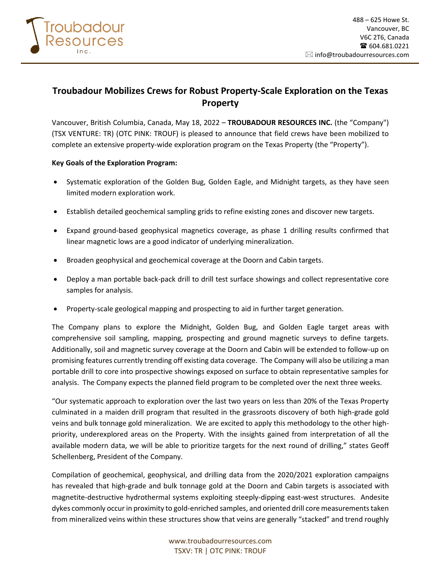

# **Troubadour Mobilizes Crews for Robust Property-Scale Exploration on the Texas Property**

Vancouver, British Columbia, Canada, May 18, 2022 – **TROUBADOUR RESOURCES INC.** (the "Company") (TSX VENTURE: TR) (OTC PINK: TROUF) is pleased to announce that field crews have been mobilized to complete an extensive property-wide exploration program on the Texas Property (the "Property").

### **Key Goals of the Exploration Program:**

- Systematic exploration of the Golden Bug, Golden Eagle, and Midnight targets, as they have seen limited modern exploration work.
- Establish detailed geochemical sampling grids to refine existing zones and discover new targets.
- Expand ground-based geophysical magnetics coverage, as phase 1 drilling results confirmed that linear magnetic lows are a good indicator of underlying mineralization.
- Broaden geophysical and geochemical coverage at the Doorn and Cabin targets.
- Deploy a man portable back-pack drill to drill test surface showings and collect representative core samples for analysis.
- Property-scale geological mapping and prospecting to aid in further target generation.

The Company plans to explore the Midnight, Golden Bug, and Golden Eagle target areas with comprehensive soil sampling, mapping, prospecting and ground magnetic surveys to define targets. Additionally, soil and magnetic survey coverage at the Doorn and Cabin will be extended to follow-up on promising features currently trending off existing data coverage. The Company will also be utilizing a man portable drill to core into prospective showings exposed on surface to obtain representative samples for analysis. The Company expects the planned field program to be completed over the next three weeks.

"Our systematic approach to exploration over the last two years on less than 20% of the Texas Property culminated in a maiden drill program that resulted in the grassroots discovery of both high-grade gold veins and bulk tonnage gold mineralization. We are excited to apply this methodology to the other highpriority, underexplored areas on the Property. With the insights gained from interpretation of all the available modern data, we will be able to prioritize targets for the next round of drilling," states Geoff Schellenberg, President of the Company.

Compilation of geochemical, geophysical, and drilling data from the 2020/2021 exploration campaigns has revealed that high-grade and bulk tonnage gold at the Doorn and Cabin targets is associated with magnetite-destructive hydrothermal systems exploiting steeply-dipping east-west structures. Andesite dykes commonly occur in proximity to gold-enriched samples, and oriented drill core measurements taken from mineralized veins within these structures show that veins are generally "stacked" and trend roughly

> www.troubadourresources.com TSXV: TR | OTC PINK: TROUF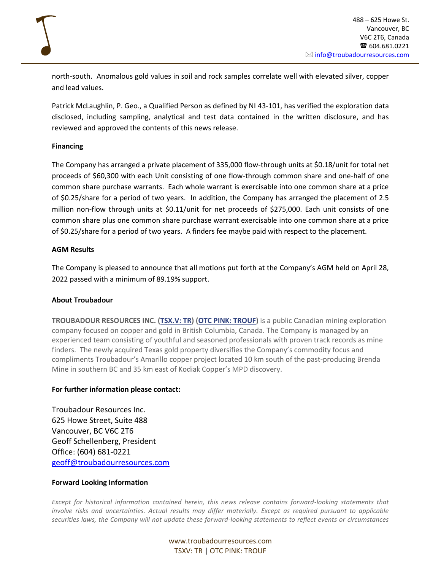north-south. Anomalous gold values in soil and rock samples correlate well with elevated silver, copper and lead values.

Patrick McLaughlin, P. Geo., a Qualified Person as defined by NI 43-101, has verified the exploration data disclosed, including sampling, analytical and test data contained in the written disclosure, and has reviewed and approved the contents of this news release.

### **Financing**

The Company has arranged a private placement of 335,000 flow-through units at \$0.18/unit for total net proceeds of \$60,300 with each Unit consisting of one flow-through common share and one-half of one common share purchase warrants. Each whole warrant is exercisable into one common share at a price of \$0.25/share for a period of two years. In addition, the Company has arranged the placement of 2.5 million non-flow through units at \$0.11/unit for net proceeds of \$275,000. Each unit consists of one common share plus one common share purchase warrant exercisable into one common share at a price of \$0.25/share for a period of two years. A finders fee maybe paid with respect to the placement.

### **AGM Results**

The Company is pleased to announce that all motions put forth at the Company's AGM held on April 28, 2022 passed with a minimum of 89.19% support.

## **About Troubadour**

**TROUBADOUR RESOURCES INC. [\(TSX.V: TR\)](https://www.stockwatch.com/Quote/Detail.aspx?symbol=TR®ion=C) (OTC [PINK: TROUF\)](https://ca.finance.yahoo.com/quote/TROUF?p=TROUF&.tsrc=fin-srch=TROUF)** is a public Canadian mining exploration company focused on copper and gold in British Columbia, Canada. The Company is managed by an experienced team consisting of youthful and seasoned professionals with proven track records as mine finders. The newly acquired Texas gold property diversifies the Company's commodity focus and compliments Troubadour's Amarillo copper project located 10 km south of the past-producing Brenda Mine in southern BC and 35 km east of Kodiak Copper's MPD discovery.

## **For further information please contact:**

Troubadour Resources Inc. 625 Howe Street, Suite 488 Vancouver, BC V6C 2T6 Geoff Schellenberg, President Office: (604) 681-0221 [geoff@troubadourresources.com](mailto:geoff@troubadourresources.com)

#### **Forward Looking Information**

*Except for historical information contained herein, this news release contains forward-looking statements that involve risks and uncertainties. Actual results may differ materially. Except as required pursuant to applicable securities laws, the Company will not update these forward-looking statements to reflect events or circumstances* 

> www.troubadourresources.com TSXV: TR | OTC PINK: TROUF